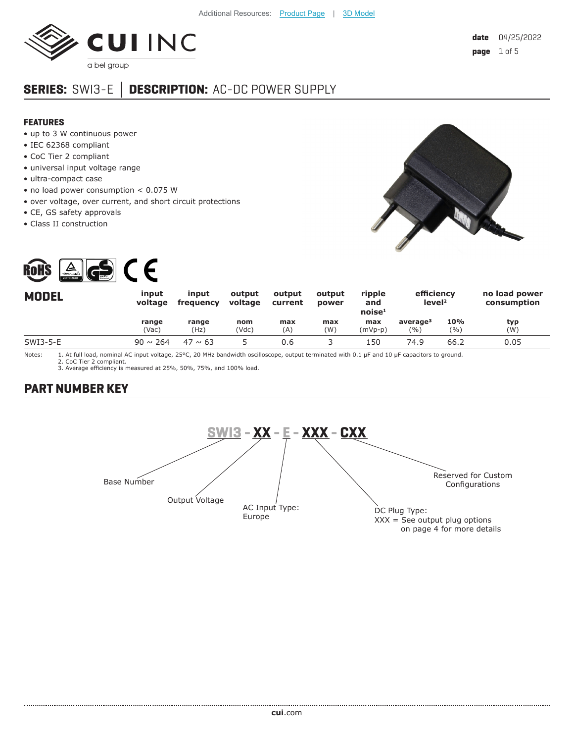

# **SERIES:** SWI3-E **│ DESCRIPTION:** AC-DC POWER SUPPLY

#### **FEATURES**

- up to 3 W continuous power
- IEC 62368 compliant
- CoC Tier 2 compliant
- universal input voltage range
- ultra-compact case
- no load power consumption < 0.075 W
- over voltage, over current, and short circuit protections
- CE, GS safety approvals
- Class II construction





| <b>MODEL</b> | input<br>voltage | input<br>frequency | output<br>voltage | output<br>current | output<br>power | ripple<br>and<br>noise <sup>1</sup> | efficiency<br>level <sup>2</sup> |              | no load power<br>consumption |
|--------------|------------------|--------------------|-------------------|-------------------|-----------------|-------------------------------------|----------------------------------|--------------|------------------------------|
|              | range<br>(Vac)   | range<br>(Hz)      | nom<br>'Vdc)      | max<br>(A)        | max<br>(W)      | max<br>(mVp-p)                      | average <sup>3</sup><br>(%)      | 10%<br>(9/0) | typ<br>(W)                   |
| SWI3-5-E     | $90 \sim 264$    | $47 \sim 63$       |                   | 0.6               |                 | 150                                 | 74.9                             | 66.2         | 0.05                         |

Notes: 1. At full load, nominal AC input voltage, 25°C, 20 MHz bandwidth oscilloscope, output terminated with 0.1 µF and 10 µF capacitors to ground. 2. CoC Tier 2 compliant.

3. Average efficiency is measured at 25%, 50%, 75%, and 100% load.

# **PART NUMBER KEY**

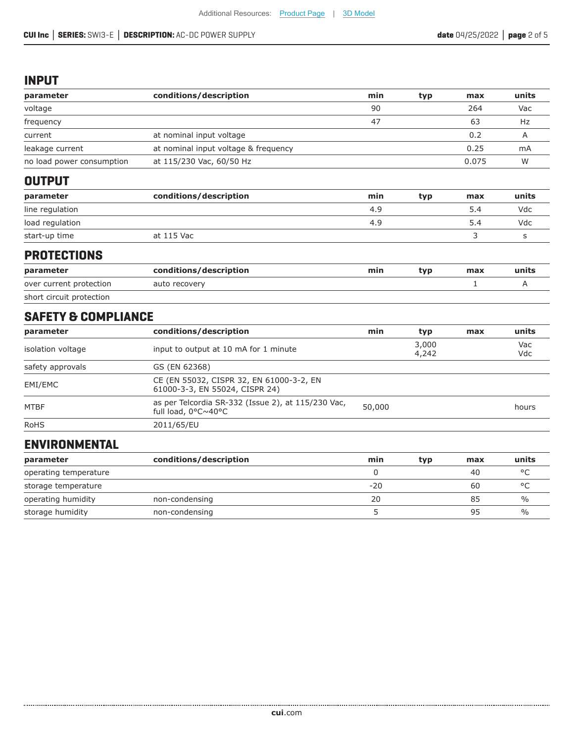### **INPUT**

| parameter                      | conditions/description                                                     | min    | typ            | max   | units      |
|--------------------------------|----------------------------------------------------------------------------|--------|----------------|-------|------------|
| voltage                        |                                                                            | 90     |                | 264   | Vac        |
| frequency                      |                                                                            | 47     |                | 63    | Hz         |
| current                        | at nominal input voltage                                                   |        |                | 0.2   | Α          |
| leakage current                | at nominal input voltage & frequency                                       |        |                | 0.25  | mA         |
| no load power consumption      | at 115/230 Vac, 60/50 Hz                                                   |        |                | 0.075 | W          |
| <b>OUTPUT</b>                  |                                                                            |        |                |       |            |
| parameter                      | conditions/description                                                     | min    | typ            | max   | units      |
| line regulation                |                                                                            | 4.9    |                | 5.4   | Vdc        |
| load regulation                |                                                                            | 4.9    |                | 5.4   | Vdc        |
| start-up time                  | at 115 Vac                                                                 |        |                | 3     | S          |
| <b>PROTECTIONS</b>             |                                                                            |        |                |       |            |
| parameter                      | conditions/description                                                     | min    | typ            | max   | units      |
| over current protection        | auto recovery                                                              |        |                | 1     | A          |
| short circuit protection       |                                                                            |        |                |       |            |
| <b>SAFETY &amp; COMPLIANCE</b> |                                                                            |        |                |       |            |
| parameter                      | conditions/description                                                     | min    | typ            | max   | units      |
| isolation voltage              | input to output at 10 mA for 1 minute                                      |        | 3,000<br>4,242 |       | Vac<br>Vdc |
| safety approvals               | GS (EN 62368)                                                              |        |                |       |            |
| EMI/EMC                        | CE (EN 55032, CISPR 32, EN 61000-3-2, EN<br>61000-3-3, EN 55024, CISPR 24) |        |                |       |            |
| <b>MTBF</b>                    | as per Telcordia SR-332 (Issue 2), at 115/230 Vac,<br>full load, 0°C~40°C  | 50,000 |                |       | hours      |
| <b>RoHS</b>                    | 2011/65/EU                                                                 |        |                |       |            |
| <b>ENVIRONMENTAL</b>           |                                                                            |        |                |       |            |

| parameter             | conditions/description | min   | typ | max | units         |
|-----------------------|------------------------|-------|-----|-----|---------------|
| operating temperature |                        |       |     | 40  | $\circ$       |
| storage temperature   |                        | $-20$ |     | 60  | $\circ$       |
| operating humidity    | non-condensing         | 20    |     | 85  | $\%$          |
| storage humidity      | non-condensing         |       |     | 95  | $\frac{0}{0}$ |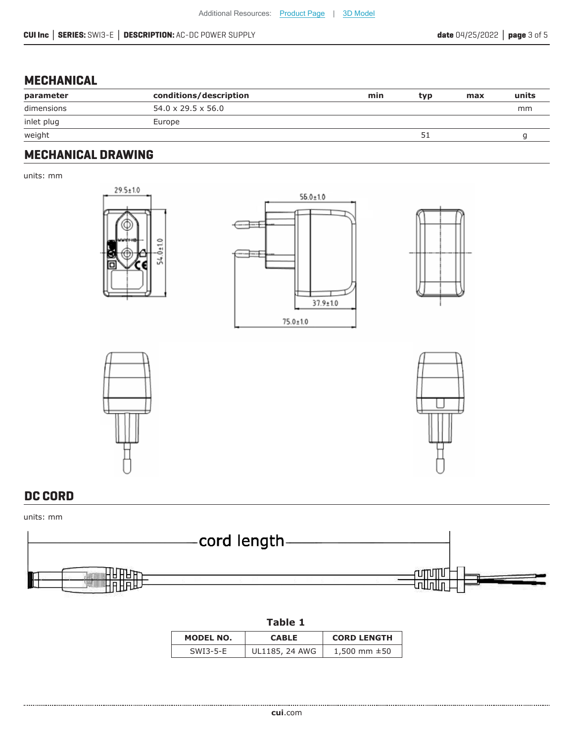# **MECHANICAL**

| parameter                                       | conditions/description         | min | typ | max | units |
|-------------------------------------------------|--------------------------------|-----|-----|-----|-------|
| dimensions                                      | $54.0 \times 29.5 \times 56.0$ |     |     |     | mm    |
| inlet plug<br>and the control of the control of | Europe                         |     |     |     |       |
| weight                                          |                                |     |     |     |       |

### **MECHANICAL DRAWING**

units: mm







# **DC CORD**

#### units: mm



#### **Table 1**

| MODEL NO.  | <b>CABLE</b>   | <b>CORD LENGTH</b> |
|------------|----------------|--------------------|
| $SWI3-5-F$ | UL1185, 24 AWG | 1,500 mm $\pm$ 50  |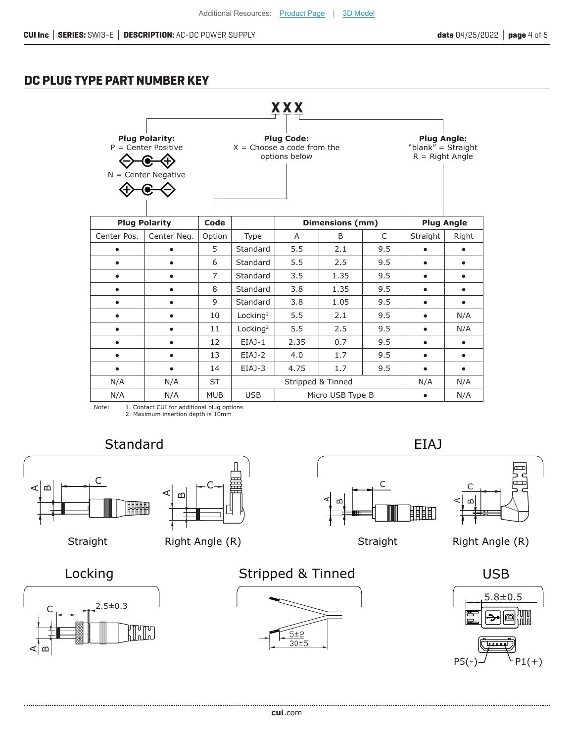## **DC PLUG TYPE PART NUMBER KEY**



Note: 1. Contact CUI for additional plug options 2. Maximum insertion depth is 10mm

A $\Omega$ 





Straight Right Angle (R)

C





ببيا

C

A $\mathsf{m}$ 





Aമ



. . . . . . . . . . . . . . . . . . **cui**[.com](https://www.cui.com/track?actionLabel=Datasheet-ClickThrough-HomePage&label=SWI3-E.pdf&path=/)